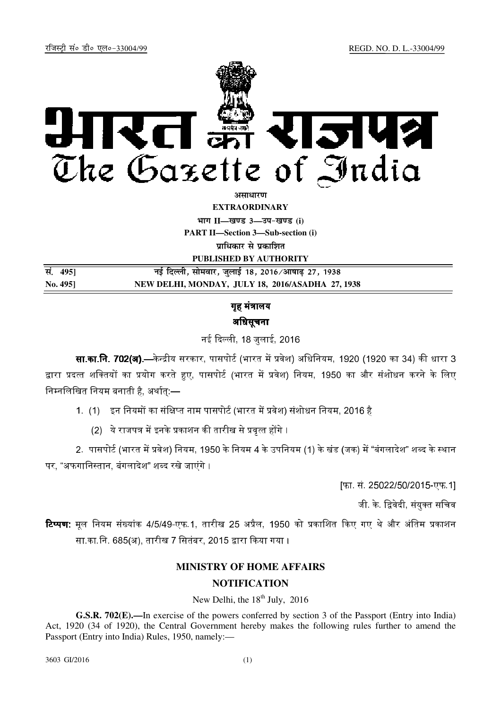

*<u>anumidian*</u>

**EXTRAORDINARY**

**Hkkx II—[k.M 3—mi&[k.M (i)**

**PART II—Section 3—Sub-section (i)** 

**पाधिकार से प्रकाशित** 

**PUBLISHED BY AUTHORITY**

| स. 4951 | नई दिल्ली, सोमवार, जुलाई 18, 2016/आषाढ़ 27, 1938 |
|---------|--------------------------------------------------|
| No. 495 | NEW DELHI, MONDAY, JULY 18, 2016/ASADHA 27, 1938 |

गह मंत्रालय अधिसूचना

नई दिल्ली, 18 जलाई, 2016

**सा.का.नि. 702(अ).—**केन्द्रीय सरकार, पासपोर्ट (भारत में प्रवेश) अधिनियम, 1920 (1920 का 34) की धारा 3 द्वारा प्रदत्त शक्तियों का प्रयोग करते हुए, पासपोर्ट (भारत में प्रवेश) नियम, 1950 का और संशोधन करने के लिए निम्नलिखित नियम बनाती है, अर्थात् $-$ 

- 1. (1) इन नियमों का संक्षिप्त नाम पासपोर्ट (भारत में प्रवेश) संशोधन नियम. 2016 है
	- $(2)$  ये राजपत्र में इनके प्रकाशन की तारीख से प्रवत्त होंगे ।

2. पासपोर्ट (भारत में प्रवेश) नियम, 1950 के नियम 4 के उपनियम (1) के खंड (जक) में "बंगलादेश" शब्द के स्थान पर, "अफगानिस्तान, बंगलादेश" शब्द रखे जाएंगे ।

[फा. सं. 25022/50/2015-एफ.1]

जी. के. द्विवेदी. संयक्त सचिव

<mark>टिप्पण</mark>: मल नियम संख्यांक 4/5/49-एफ.1, तारीख 25 अप्रैल, 1950 को प्रकाशित किए गए थे और अंतिम प्रकाशन सा.का.नि. 685(अ), तारीख 7 सितंबर, 2015 द्वारा किया गया ।

# **MINISTRY OF HOME AFFAIRS**

## **NOTIFICATION**

New Delhi, the  $18<sup>th</sup>$  July, 2016

**G.S.R. 702(E).—**In exercise of the powers conferred by section 3 of the Passport (Entry into India) Act, 1920 (34 of 1920), the Central Government hereby makes the following rules further to amend the Passport (Entry into India) Rules, 1950, namely:—